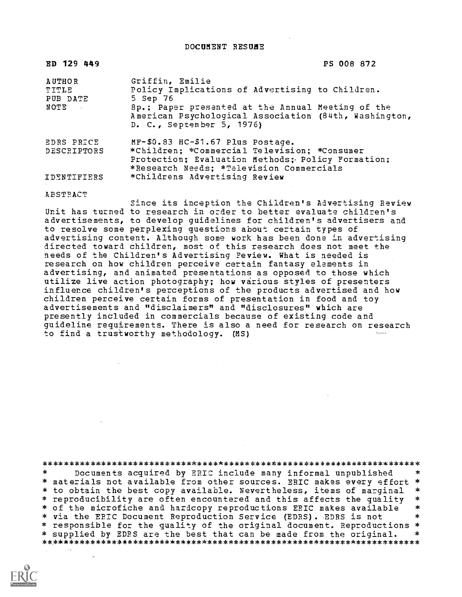DOCUMENT RESUBE

| ED 129 449                                          | PS 008 872                                                                                                                                    |
|-----------------------------------------------------|-----------------------------------------------------------------------------------------------------------------------------------------------|
| <b>AUTHOR</b><br>TITLE<br>PUB DATE<br>NOTE <b>A</b> | Griffin, Emilie<br>Policy Implications of Advertising to Children.<br>5 Sep 76<br>Sp.; Paper presented at the Annual Meeting of the           |
|                                                     | American Psychological Association (84th, Washington,<br>D. C., September 5, 1976)                                                            |
| EDRS PRICE                                          | $MF-$0.83$ $HC-$1.67$ Plus Postage.                                                                                                           |
| DESCRIPTORS                                         | *Children; *Commercial Television; *Consumer<br>Protection; Evaluation Methods; Policy Formation;<br>*Research Needs; *Television Commercials |
| IDENTIFIERS                                         | *Childrens Advertising Review                                                                                                                 |

ABSTRACT

Since its inception the Children's Advertising Review Unit has turned to research in oraer to better evaluate children's advertisements, to develop guidelines for children's advertisers and to resolve some perplexing questions about certain types of advertising content. Although some work has been done in advertising directed toward children, most of this research does not meet the needs of the Children's Advertising Review. What is needed is research on how children perceive certain fantasy elements in advertising, and animated presentations as opposed to those which utilize live action photography; how various styles of presenters influence children's perceptions of the products advertised and how children perceive certain forms of presentation in food and toy advertisements and "disclaimers" and "disclosures" which are presently included in commercials because of existing code and guideline requirements. There is also a need for research on research to find a trustworthy methodology. (MS)

\*\*\*\*\*\*\*\*\*\*\*\*\*\*\*\*\*\*\*\*\*\*\*\*\*\*\*\*\*\*\*\*\*\*\*\*\*\*\*\*\*\*\*\*\*\*\*\*\*\*\*\*\*\*\*\*\*\*\*\*\*\*\*\*\*\*\*\*\*\*\* Documents acquired by ERIC include many informal unpublished \* materials not available from other sources. ERIC makes every effort \* \* to obtain the best copy available. Nevertheless, items of marginal \*<br>\* reproducibility are often encountered and this affects the quality \* \* reproducibility are often encountered and this affects the quality \* of the microfiche and hardcopy reproductions ERIC makes available \* \*<br>\* via the EBIC Document Benroduction Service (EDBS), EDBS is not \* \* \* via the EPIC Document Reproduction Service (EDRS). EDRS is not \* responsible for the quality of the original document. Reproductions \* \* supplied by EDRS are the best that can be made from the original. \*\*\*\*\*\*\*\*\*\*\*\*\*\*\*\*\*\*\*\*\*\*\*\*\*\*\*\*\*\*\*\*\*\*\*\*\*\*\*\*\*\*\*\*\*\*\*\*\*\*\*\*\*\*\*\*\*\*\*\*\*\*\*\*\*\*\*\*\*\*\*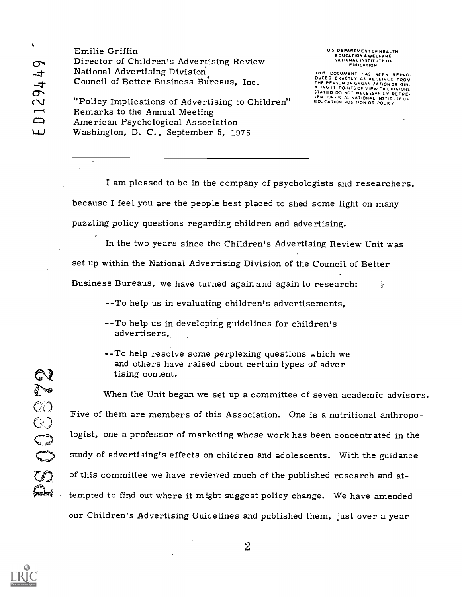$\sigma$   $\mathbf{v}$ Emilie Griffin Director of Children's Advertising Review National Advertising Division. Council of Better Business Bureaus, Inc.

U S. DEPARTMENT OF HEALTH.<br>EDUCATION & WELFARE<br>NATIONAL INSTITUTE OF EDUCATION

THIS DOCUMENT HAS BEEN REPRO.<br>DUCED EXACTLY AS RECEIVED FROM<br>THE PERSON OR ORGANIZATION ORIGIN.<br>ATING IT POINTS OF VIEW OR OPINIONS<br>STATED DO NOT NECESSARILY REPRE.<br>SENTOFFICIAL NATION OR POLICY<br>EDUCATION POSITION OR POLIC

LU Washington, D. C., September 5, 1976 "Policy Implications of Advertising to Children" Remarks to the Annual Meeting American Psychological Association

> I am pleased to be in the company of psychologists and researchers, because I feel you are the people best placed to shed some light on many puzzling policy questions regarding children and advertising.

In the two years since the Children's Advertising Review Unit was set up within the National Advertising Division of the Council of Better

Business Bureaus, we have turned again and again to research:  $\delta$ 

-- To help us in evaluating children's advertisements,

- --To help us in developing guidelines for children's advertisers,
- -To help resolve some perplexing questions which we and others have raised about certain types of advertising content.

When the Unit began we set up a committee of seven academic advisors. Five of them are members of this Association. One is a nutritional anthropologist, one a professor of marketing whose work has been concentrated in the study of advertising's effects on children and adolescents. With the guidance of this committee we have reviewed much of the published research and attempted to find out where it might suggest policy change. We have amended our Children's Advertising Guidelines and published them, just over a year



COOSCIO

فتهمج

 $\boldsymbol{Z}$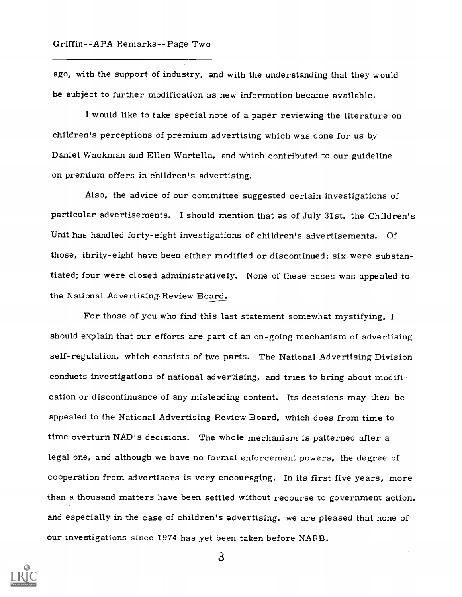ago, with the support of industry, and with the understanding that they would be subject to further modification as new information became available.

I would like to take special note of a paper reviewing the literature on children's perceptions of premium advertising which was done for us by Daniel Wackman and Ellen Wartella, and which contributed to our guideline on premium offers in children's advertising.

Also, the advice of our committee suggested certain investigations of particular advertisements. I should mention that as of July 31st, the Children's Unit has handled forty-eight investigations of children's advertisements. Of those, thrity-eight have been either modified or discontinued; six were substantiated; four were closed administratively. None of these cases was appealed to the National Advertising Review Board.

For those of you who find this last statement somewhat mystifying, I should explain that our efforts are part of an on-going mechanism of advertising self-regulation, which consists of two parts. The National Advertising Division conducts investigations of national advertising, and tries to bring about modification or discontinuance of any misleading content. Its decisions may then be appealed to the National Advertising Review Board, which does from time to time overturn NAD's decisions. The whole mechanism is patterned after a legal one, and although we have no formal enforcement powers, the degree of cooperation from advertisers is very encouraging. In its first five years, more than a thousand matters have been settled without recourse to government action, and especially in the case of children's advertising, we are pleased that none of our investigations since 1974 has yet been taken before NARB.



3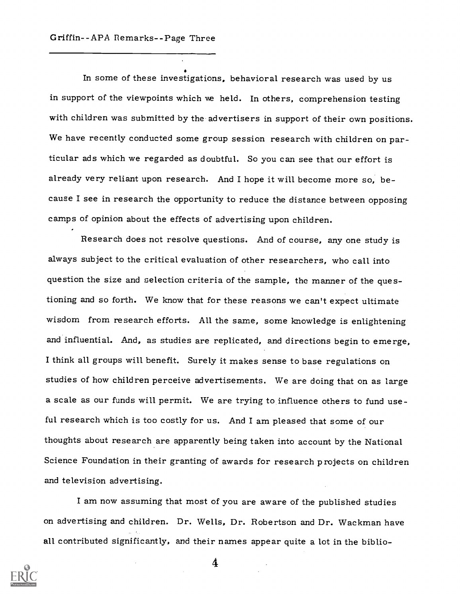In some of these investigations, behavioral research was used by us in support of the viewpoints which we held. In others, comprehension testing with children was submitted by the advertisers in support of their own positions. We have recently conducted some group session research with children on particular ads which we regarded as doubtful. So you can see that our effort is already very reliant upon research. And I hope it will become more so, because I see in research the opportunity to reduce the distance between opposing camps of opinion about the effects of advertising upon children.

Research does not resolve questions. And of course, any one study is always subject to the critical evaluation of other researchers, who call into question the size and selection criteria of the sample, the manner of the questioning and so forth. We know that for these reasons we can't expect ultimate wisdom from research efforts. All the same, some knowledge is enlightening and influential. And, as studies are replicated, and directions begin to emerge, I think all groups will benefit. Surely it makes sense to base regulations on studies of how children perceive advertisements. We are doing that on as large a scale as our funds will permit. We are trying to influence others to fund useful research which is too costly for us. And I am pleased that some of our thoughts about research are apparently being taken into account by the National Science Foundation in their granting of awards for research projects on children and television advertising.

I am now assuming that most of you are aware of the published studies on advertising and children. Dr. Wells, Dr. Robertson and Dr. Wackman have all contributed significantly, and their names appear quite a lot in the biblio-



4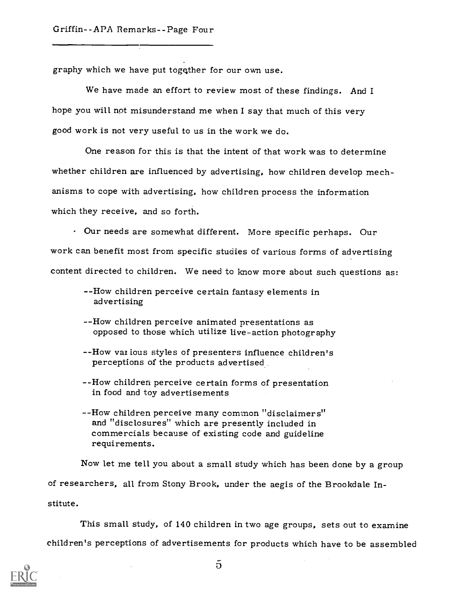graphy which we have put togqther for our own use.

We have made an effort to review most of these findings. And I hope you will not misunderstand me when I say that much of this very good work is not very useful to us in the work we do.

One reason for this is that the intent of that work was to determine whether children are influenced by advertising, how children develop mechanisms to cope with advertising, how children process the information which they receive, and so forth.

 $\cdot$  Our needs are somewhat different. More specific perhaps. Our work can benefit most from specific studies of various forms of advertising content directed to children. We need to know more about such questions as:

- -How children perceive certain fantasy elements in advertising
- -How children perceive animated presentations as opposed to those which utilize live-action photography
- -How vaz ious styles of presenters influence children's perceptions of the products advertised.
- -How children perceive certain forms of presentation in food and toy advertisements
- --How children perceive many common "disclaimers" and "disclosures" which are presently included in commercials because of existing code and guideline requirements.

Now let me tell you about a small study which has been done by a group of researchers, all from Stony Brook, under the aegis of the Brookdale Institute.

This small study, of 140 children in two age groups, sets out to examine children's perceptions of advertisements for products which have to be assembled



 $\bar{p}$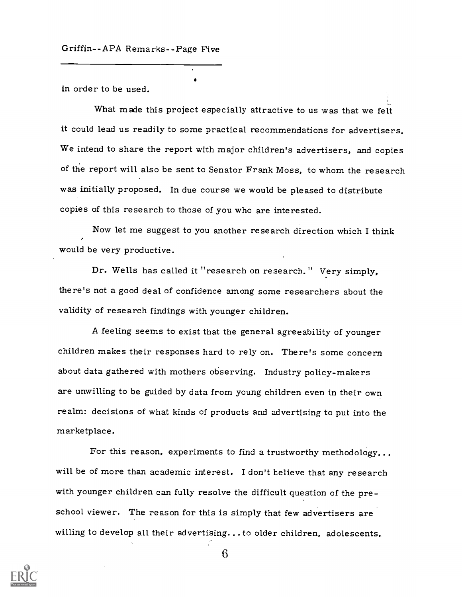in order to be used.

What made this project especially attractive to us was that we felt it could lead us readily to some practical recommendations for advertisers. We intend to share the report with major children's advertisers, and copies of the report will also be sent to Senator Frank Moss, to whom the research was initially proposed. In due course we would be pleased to distribute copies of this research to those of you who are interested.

Now let me suggest to you another research direction which I think would be very productive.

Dr. Wells has called it "research on research." Very simply, there's not a good deal of confidence among some researchers about the validity of research findings with younger children.

A feeling seems to exist that the general agreeability of younger children makes their responses hard to rely on. There's some concern about data gathered with mothers observing. Industry policy-makers are unwilling to be guided by data from young children even in their own realm: decisions of what kinds of products and advertising to put into the marketplace.

For this reason, experiments to find a trustworthy methodology... will be of more than academic interest. I don't believe that any research with younger children can fully resolve the difficult question of the preschool viewer. The reason for this is simply that few advertisers are willing to develop all their advertising...to older children, adolescents,



6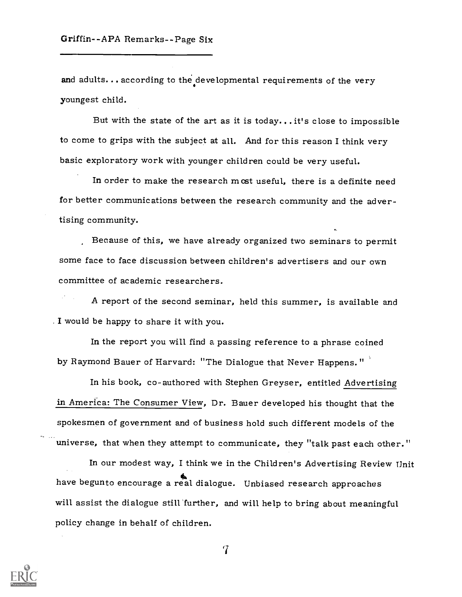and adults... according to the developmental requirements of the very youngest child.

But with the state of the art as it is today...it's close to impossible to come to grips with the subject at all. And for this reason I think very basic exploratory work with younger children could be very useful.

In order to make the research most useful, there is a definite need for better communications between the research community and the advertising community.

Because of this, we have already organized two seminars to permit some face to face discussion between children's advertisers and our own committee of academic researchers.

A report of the second seminar, held this summer, is available and . I would be happy to share it with you.

In the report you will find a passing reference to a phrase coined by Raymond Bauer of Harvard: "The Dialogue that Never Happens."

In his book, co-authored with Stephen Greyser, entitled Advertising in America: The Consumer View, Dr. Bauer developed his thought that the spokesmen of government and of business hold such different models of the universe, that when they attempt to communicate, they "talk past each other."

In our modest way, I think we in the Children's Advertising Review Unit have begunto encourage a real dialogue. Unbiased research approaches will assist the dialogue still further, and will help to bring about meaningful policy change in behalf of children.



 $\mathbf 7$